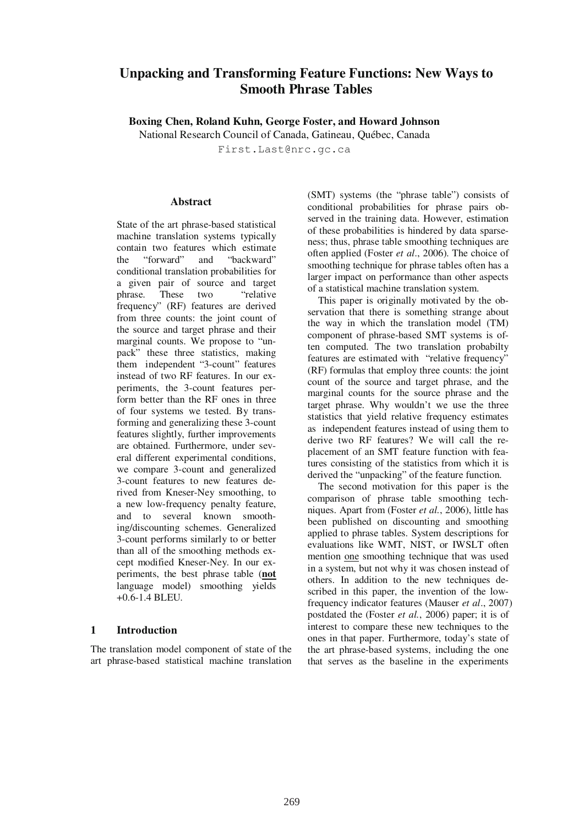# **Unpacking and Transforming Feature Functions: New Ways to Smooth Phrase Tables**

**Boxing Chen, Roland Kuhn, George Foster, and Howard Johnson** 

National Research Council of Canada, Gatineau, Québec, Canada First.Last@nrc.gc.ca

## **Abstract**

State of the art phrase-based statistical machine translation systems typically contain two features which estimate the "forward" and "backward" conditional translation probabilities for a given pair of source and target phrase. These two "relative frequency" (RF) features are derived from three counts: the joint count of the source and target phrase and their marginal counts. We propose to "unpack" these three statistics, making them independent "3-count" features instead of two RF features. In our experiments, the 3-count features perform better than the RF ones in three of four systems we tested. By transforming and generalizing these 3-count features slightly, further improvements are obtained. Furthermore, under several different experimental conditions, we compare 3-count and generalized 3-count features to new features derived from Kneser-Ney smoothing, to a new low-frequency penalty feature, and to several known smoothing/discounting schemes. Generalized 3-count performs similarly to or better than all of the smoothing methods except modified Kneser-Ney. In our experiments, the best phrase table (**not** language model) smoothing yields +0.6-1.4 BLEU.

### **1 Introduction**

The translation model component of state of the art phrase-based statistical machine translation (SMT) systems (the "phrase table") consists of conditional probabilities for phrase pairs observed in the training data. However, estimation of these probabilities is hindered by data sparseness; thus, phrase table smoothing techniques are often applied (Foster *et al*., 2006). The choice of smoothing technique for phrase tables often has a larger impact on performance than other aspects of a statistical machine translation system.

This paper is originally motivated by the observation that there is something strange about the way in which the translation model (TM) component of phrase-based SMT systems is often computed. The two translation probabilty features are estimated with "relative frequency" (RF) formulas that employ three counts: the joint count of the source and target phrase, and the marginal counts for the source phrase and the target phrase. Why wouldn't we use the three statistics that yield relative frequency estimates as independent features instead of using them to derive two RF features? We will call the replacement of an SMT feature function with features consisting of the statistics from which it is derived the "unpacking" of the feature function.

The second motivation for this paper is the comparison of phrase table smoothing techniques. Apart from (Foster *et al.*, 2006), little has been published on discounting and smoothing applied to phrase tables. System descriptions for evaluations like WMT, NIST, or IWSLT often mention one smoothing technique that was used in a system, but not why it was chosen instead of others. In addition to the new techniques described in this paper, the invention of the lowfrequency indicator features (Mauser *et al*., 2007) postdated the (Foster *et al.*, 2006) paper; it is of interest to compare these new techniques to the ones in that paper. Furthermore, today's state of the art phrase-based systems, including the one that serves as the baseline in the experiments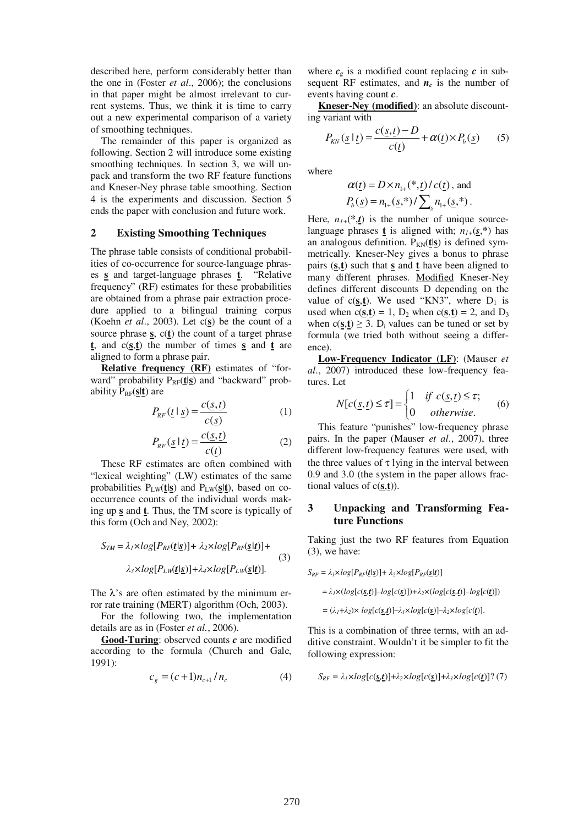described here, perform considerably better than the one in (Foster *et al*., 2006); the conclusions in that paper might be almost irrelevant to current systems. Thus, we think it is time to carry out a new experimental comparison of a variety of smoothing techniques.

The remainder of this paper is organized as following. Section 2 will introduce some existing smoothing techniques. In section 3, we will unpack and transform the two RF feature functions and Kneser-Ney phrase table smoothing. Section 4 is the experiments and discussion. Section 5 ends the paper with conclusion and future work.

#### **2 Existing Smoothing Techniques**

The phrase table consists of conditional probabilities of co-occurrence for source-language phrases **s** and target-language phrases **t**. "Relative frequency" (RF) estimates for these probabilities are obtained from a phrase pair extraction procedure applied to a bilingual training corpus (Koehn *et al*., 2003). Let c(**s**) be the count of a source phrase  $\underline{\mathbf{s}}$ ,  $c(\underline{\mathbf{t}})$  the count of a target phrase **t**, and  $c(s,t)$  the number of times **s** and **t** are aligned to form a phrase pair.

**Relative frequency (RF)** estimates of "forward" probability P<sub>RF</sub>(t/s) and "backward" probability  $P_{RF}(\underline{\mathbf{s}}|\underline{\mathbf{t}})$  are

$$
P_{RF}(\underline{t} \mid \underline{s}) = \frac{c(\underline{s}, \underline{t})}{c(\underline{s})} \tag{1}
$$

$$
P_{RF}(\underline{s} \mid \underline{t}) = \frac{c(\underline{s}, \underline{t})}{c(\underline{t})} \tag{2}
$$

These RF estimates are often combined with "lexical weighting" (LW) estimates of the same probabilities  $P_{LW}(\underline{\mathbf{t}}|\underline{\mathbf{s}})$  and  $P_{LW}(\underline{\mathbf{s}}|\underline{\mathbf{t}})$ , based on cooccurrence counts of the individual words making up **s** and **t**. Thus, the TM score is typically of this form (Och and Ney, 2002):

$$
S_{TM} = \lambda_1 \times \log[P_{RF}(\underline{t}|\underline{s})] + \lambda_2 \times \log[P_{RF}(\underline{s}|\underline{t})] +
$$
  

$$
\lambda_3 \times \log[P_{LW}(\underline{t}|\underline{s})] + \lambda_4 \times \log[P_{LW}(\underline{s}|\underline{t})].
$$
 (3)

The  $\lambda$ 's are often estimated by the minimum error rate training (MERT) algorithm (Och, 2003).

 For the following two, the implementation details are as in (Foster *et al.*, 2006).

**Good-Turing**: observed counts *c* are modified according to the formula (Church and Gale, 1991):

$$
c_g = (c+1)n_{c+1}/n_c \tag{4}
$$

where  $c_g$  is a modified count replacing  $c$  in subsequent RF estimates, and  $n_c$  is the number of events having count *c*.

**Kneser-Ney (modified)**: an absolute discounting variant with

$$
P_{KN}(\underline{s} | t) = \frac{c(\underline{s}, t) - D}{c(t)} + \alpha(t) \times P_b(\underline{s}) \qquad (5)
$$

where

$$
\alpha(\underline{t}) = D \times n_{1+}(*, \underline{t}) / c(\underline{t})
$$
, and  
\n $P_b(\underline{s}) = n_{1+}(\underline{s}, *) / \sum_s n_{1+}(\underline{s}, *)$ .

Here,  $n_{1+}(*{\bf ,}t)$  is the number of unique sourcelanguage phrases **t** is aligned with;  $n_{1+}(s,*)$  has an analogous definition.  $P_{KN}(\underline{t}|\underline{s})$  is defined symmetrically. Kneser-Ney gives a bonus to phrase pairs (**s**,**t**) such that **s** and **t** have been aligned to many different phrases. Modified Kneser-Ney defines different discounts D depending on the value of  $c(s,t)$ . We used "KN3", where  $D_1$  is used when  $c(s,t) = 1$ ,  $D_2$  when  $c(s,t) = 2$ , and  $D_3$ when  $c(\mathbf{s}, \mathbf{t}) \geq 3$ . D<sub>i</sub> values can be tuned or set by formula (we tried both without seeing a difference).

**Low-Frequency Indicator (LF)**: (Mauser *et al*., 2007) introduced these low-frequency features. Let

$$
N[c(\underline{s}, \underline{t}) \le \tau] = \begin{cases} 1 & \text{if } c(\underline{s}, \underline{t}) \le \tau; \\ 0 & \text{otherwise.} \end{cases}
$$
 (6)

This feature "punishes" low-frequency phrase pairs. In the paper (Mauser *et al*., 2007), three different low-frequency features were used, with the three values of  $\tau$  lying in the interval between 0.9 and 3.0 (the system in the paper allows fractional values of  $c(\underline{s}, \underline{t})$ ).

### **3 Unpacking and Transforming Feature Functions**

Taking just the two RF features from Equation (3), we have:

$$
S_{RF} = \lambda_1 \times \log[P_{RF}(\underline{t}|\underline{s})] + \lambda_2 \times \log[P_{RF}(\underline{s}|\underline{t})]
$$

 $=\lambda_1 \times (log[c(\underline{s}, \underline{t})] - log[c(\underline{s})]) + \lambda_2 \times (log[c(\underline{s}, \underline{t})] - log[c(\underline{t})])$ 

 $= (\lambda_1 + \lambda_2) \times log[c(\underline{s}, t)] - \lambda_1 \times log[c(\underline{s})] - \lambda_2 \times log[c(t)].$ 

This is a combination of three terms, with an additive constraint. Wouldn't it be simpler to fit the following expression:

$$
S_{RF} = \lambda_1 \times \log[c(\underline{s}, \underline{t})] + \lambda_2 \times \log[c(\underline{s})] + \lambda_3 \times \log[c(\underline{t})]
$$
 (7)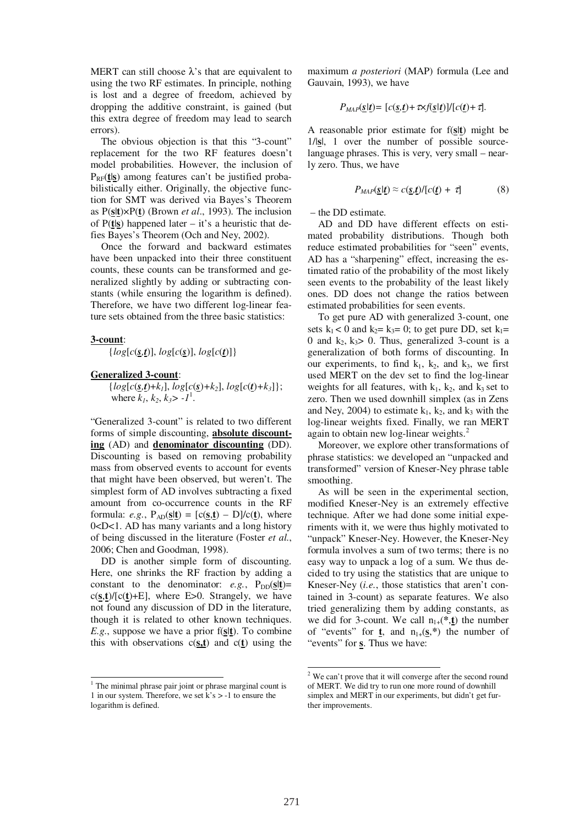MERT can still choose  $\lambda$ 's that are equivalent to using the two RF estimates. In principle, nothing is lost and a degree of freedom, achieved by dropping the additive constraint, is gained (but this extra degree of freedom may lead to search errors).

The obvious objection is that this "3-count" replacement for the two RF features doesn't model probabilities. However, the inclusion of  $P_{RF}$ (**t**|**s**) among features can't be justified probabilistically either. Originally, the objective function for SMT was derived via Bayes's Theorem as P(**s**|**t**)×P(**t**) (Brown *et al*., 1993). The inclusion of  $P(t|s)$  happened later – it's a heuristic that defies Bayes's Theorem (Och and Ney, 2002).

Once the forward and backward estimates have been unpacked into their three constituent counts, these counts can be transformed and generalized slightly by adding or subtracting constants (while ensuring the logarithm is defined). Therefore, we have two different log-linear feature sets obtained from the three basic statistics:

#### **3-count**:

{*log*[*c*(*s,t*)], *log*[*c*(*s*)], *log*[*c*(*t*)]}

### **Generalized 3-count**:

 $\{log[c(\underline{s}, \underline{t})+k_1], log[c(\underline{s})+k_2], log[c(\underline{t})+k_3]\};$ where  $\overline{k_1}$ ,  $k_2$ ,  $k_3$ > -1<sup>1</sup>.

"Generalized 3-count" is related to two different forms of simple discounting, **absolute discounting** (AD) and **denominator discounting** (DD). Discounting is based on removing probability mass from observed events to account for events that might have been observed, but weren't. The simplest form of AD involves subtracting a fixed amount from co-occurrence counts in the RF formula: *e.g.*,  $P_{AD}(\underline{s}|\underline{t}) = [c(\underline{s},\underline{t}) - D]/c(\underline{t})$ , where 0<D<1. AD has many variants and a long history of being discussed in the literature (Foster *et al.*, 2006; Chen and Goodman, 1998).

DD is another simple form of discounting. Here, one shrinks the RF fraction by adding a constant to the denominator:  $e.g., P<sub>DD</sub>(s|t) =$  $c(s,t)/[c(t)+E]$ , where  $E>0$ . Strangely, we have not found any discussion of DD in the literature, though it is related to other known techniques. *E.g.*, suppose we have a prior f(**s**|**t**). To combine this with observations c(**s,t**) and c(**t**) using the maximum *a posteriori* (MAP) formula (Lee and Gauvain, 1993), we have

$$
P_{MAP}(\underline{s}|\underline{t}) = [c(\underline{s}, \underline{t}) + \tau \times f(\underline{s}|\underline{t})]/[c(\underline{t}) + \tau].
$$

A reasonable prior estimate for f(**s**|**t**) might be 1/|**s**|, 1 over the number of possible sourcelanguage phrases. This is very, very small – nearly zero. Thus, we have

$$
P_{MAP}(\underline{s}|\underline{t}) \approx c(\underline{s}, \underline{t})/[c(\underline{t}) + \tau] \tag{8}
$$

– the DD estimate.

AD and DD have different effects on estimated probability distributions. Though both reduce estimated probabilities for "seen" events, AD has a "sharpening" effect, increasing the estimated ratio of the probability of the most likely seen events to the probability of the least likely ones. DD does not change the ratios between estimated probabilities for seen events.

To get pure AD with generalized 3-count, one sets  $k_1 < 0$  and  $k_2 = k_3 = 0$ ; to get pure DD, set  $k_1 =$ 0 and  $k_2$ ,  $k_3$  > 0. Thus, generalized 3-count is a generalization of both forms of discounting. In our experiments, to find  $k_1$ ,  $k_2$ , and  $k_3$ , we first used MERT on the dev set to find the log-linear weights for all features, with  $k_1$ ,  $k_2$ , and  $k_3$  set to zero. Then we used downhill simplex (as in Zens and Ney, 2004) to estimate  $k_1$ ,  $k_2$ , and  $k_3$  with the log-linear weights fixed. Finally, we ran MERT again to obtain new log-linear weights.<sup>2</sup>

Moreover, we explore other transformations of phrase statistics: we developed an "unpacked and transformed" version of Kneser-Ney phrase table smoothing.

As will be seen in the experimental section, modified Kneser-Ney is an extremely effective technique. After we had done some initial experiments with it, we were thus highly motivated to "unpack" Kneser-Ney. However, the Kneser-Ney formula involves a sum of two terms; there is no easy way to unpack a log of a sum. We thus decided to try using the statistics that are unique to Kneser-Ney (*i.e.*, those statistics that aren't contained in 3-count) as separate features. We also tried generalizing them by adding constants, as we did for 3-count. We call  $n_{1+}(*,t)$  the number of "events" for  $\underline{\mathbf{t}}$ , and  $n_{1+}(\underline{\mathbf{s}},*)$  the number of "events" for **s**. Thus we have:

<sup>&</sup>lt;sup>1</sup> The minimal phrase pair joint or phrase marginal count is 1 in our system. Therefore, we set  $k's > -1$  to ensure the logarithm is defined.

<sup>&</sup>lt;sup>2</sup> We can't prove that it will converge after the second round of MERT. We did try to run one more round of downhill simplex and MERT in our experiments, but didn't get further improvements.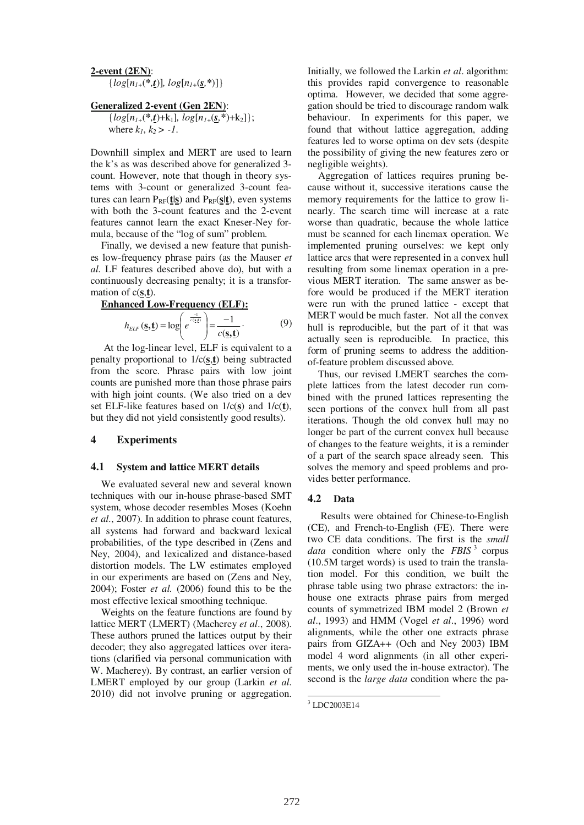#### **2-event (2EN)**:

 $\{log[n_{1+}(*,t)], log[n_{1+}(s,*)]\}$ 

### **Generalized 2-event (Gen 2EN)**:

 $\{log[n_1,(*,t)+k_1], log[n_1,*(s,*)+k_2]\};$ where  $k_1, k_2 > -1$ .

Downhill simplex and MERT are used to learn the k's as was described above for generalized 3 count. However, note that though in theory systems with 3-count or generalized 3-count features can learn  $P_{RF}(t|s)$  and  $P_{RF}(s|t)$ , even systems with both the 3-count features and the 2-event features cannot learn the exact Kneser-Ney formula, because of the "log of sum" problem.

Finally, we devised a new feature that punishes low-frequency phrase pairs (as the Mauser *et al.* LF features described above do), but with a continuously decreasing penalty; it is a transformation of  $c(\mathbf{s}, \mathbf{t})$ .

### **Enhanced Low-Frequency (ELF):**

$$
h_{ELF}(\underline{\mathbf{s}}, \underline{\mathbf{t}}) = \log \left( e^{\frac{-1}{c(\underline{\mathbf{s}}, \underline{\mathbf{t}})}} \right) = \frac{-1}{c(\underline{\mathbf{s}}, \underline{\mathbf{t}})}.
$$
 (9)

 At the log-linear level, ELF is equivalent to a penalty proportional to 1/c(**s**,**t**) being subtracted from the score. Phrase pairs with low joint counts are punished more than those phrase pairs with high joint counts. (We also tried on a dev set ELF-like features based on 1/c(**s**) and 1/c(**t**), but they did not yield consistently good results).

### **4 Experiments**

### **4.1 System and lattice MERT details**

We evaluated several new and several known techniques with our in-house phrase-based SMT system, whose decoder resembles Moses (Koehn *et al*., 2007). In addition to phrase count features, all systems had forward and backward lexical probabilities, of the type described in (Zens and Ney, 2004), and lexicalized and distance-based distortion models. The LW estimates employed in our experiments are based on (Zens and Ney, 2004); Foster *et al.* (2006) found this to be the most effective lexical smoothing technique.

Weights on the feature functions are found by lattice MERT (LMERT) (Macherey *et al*., 2008). These authors pruned the lattices output by their decoder; they also aggregated lattices over iterations (clarified via personal communication with W. Macherey). By contrast, an earlier version of LMERT employed by our group (Larkin *et al*. 2010) did not involve pruning or aggregation.

Initially, we followed the Larkin *et al*. algorithm: this provides rapid convergence to reasonable optima. However, we decided that some aggregation should be tried to discourage random walk behaviour. In experiments for this paper, we found that without lattice aggregation, adding features led to worse optima on dev sets (despite the possibility of giving the new features zero or negligible weights).

Aggregation of lattices requires pruning because without it, successive iterations cause the memory requirements for the lattice to grow linearly. The search time will increase at a rate worse than quadratic, because the whole lattice must be scanned for each linemax operation. We implemented pruning ourselves: we kept only lattice arcs that were represented in a convex hull resulting from some linemax operation in a previous MERT iteration. The same answer as before would be produced if the MERT iteration were run with the pruned lattice - except that MERT would be much faster. Not all the convex hull is reproducible, but the part of it that was actually seen is reproducible. In practice, this form of pruning seems to address the additionof-feature problem discussed above.

Thus, our revised LMERT searches the complete lattices from the latest decoder run combined with the pruned lattices representing the seen portions of the convex hull from all past iterations. Though the old convex hull may no longer be part of the current convex hull because of changes to the feature weights, it is a reminder of a part of the search space already seen. This solves the memory and speed problems and provides better performance.

### **4.2 Data**

 Results were obtained for Chinese-to-English (CE), and French-to-English (FE). There were two CE data conditions. The first is the *small data* condition where only the *FBIS* 3 corpus (10.5M target words) is used to train the translation model. For this condition, we built the phrase table using two phrase extractors: the inhouse one extracts phrase pairs from merged counts of symmetrized IBM model 2 (Brown *et al*., 1993) and HMM (Vogel *et al*., 1996) word alignments, while the other one extracts phrase pairs from GIZA++ (Och and Ney 2003) IBM model 4 word alignments (in all other experiments, we only used the in-house extractor). The second is the *large data* condition where the pa-

-

<sup>3</sup> LDC2003E14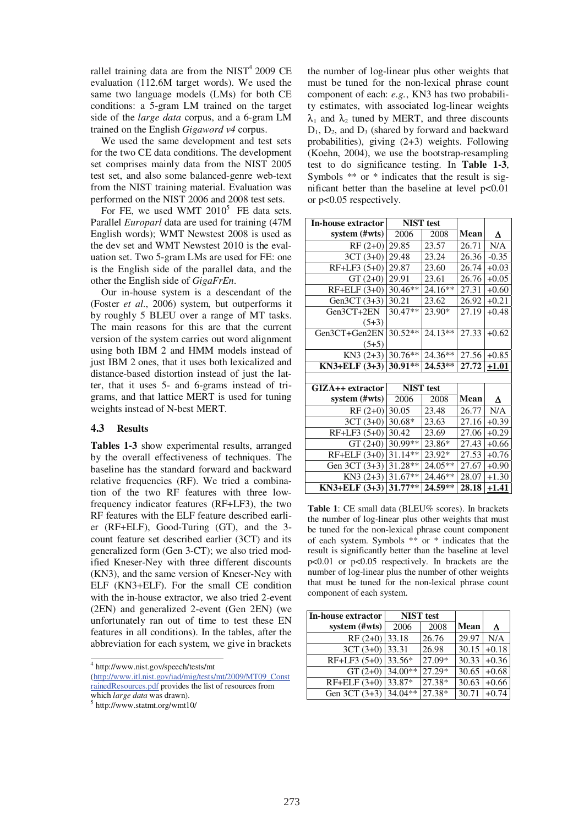rallel training data are from the  $NIST^4$  2009 CE evaluation (112.6M target words). We used the same two language models (LMs) for both CE conditions: a 5-gram LM trained on the target side of the *large data* corpus, and a 6-gram LM trained on the English *Gigaword v4* corpus.

We used the same development and test sets for the two CE data conditions. The development set comprises mainly data from the NIST 2005 test set, and also some balanced-genre web-text from the NIST training material. Evaluation was performed on the NIST 2006 and 2008 test sets.

For FE, we used WMT  $2010^5$  FE data sets. Parallel *Europarl* data are used for training (47M English words); WMT Newstest 2008 is used as the dev set and WMT Newstest 2010 is the evaluation set. Two 5-gram LMs are used for FE: one is the English side of the parallel data, and the other the English side of *GigaFrEn*.

Our in-house system is a descendant of the (Foster *et al*., 2006) system, but outperforms it by roughly 5 BLEU over a range of MT tasks. The main reasons for this are that the current version of the system carries out word alignment using both IBM 2 and HMM models instead of just IBM 2 ones, that it uses both lexicalized and distance-based distortion instead of just the latter, that it uses 5- and 6-grams instead of trigrams, and that lattice MERT is used for tuning weights instead of N-best MERT.

### **4.3 Results**

**Tables 1-3** show experimental results, arranged by the overall effectiveness of techniques. The baseline has the standard forward and backward relative frequencies (RF). We tried a combination of the two RF features with three lowfrequency indicator features (RF+LF3), the two RF features with the ELF feature described earlier (RF+ELF), Good-Turing (GT), and the 3 count feature set described earlier (3CT) and its generalized form (Gen 3-CT); we also tried modified Kneser-Ney with three different discounts (KN3), and the same version of Kneser-Ney with ELF (KN3+ELF). For the small CE condition with the in-house extractor, we also tried 2-event (2EN) and generalized 2-event (Gen 2EN) (we unfortunately ran out of time to test these EN features in all conditions). In the tables, after the abbreviation for each system, we give in brackets

4 http://www.nist.gov/speech/tests/mt

(http://www.itl.nist.gov/iad/mig/tests/mt/2009/MT09\_Const rainedResources.pdf provides the list of resources from which *large data* was drawn).

http://www.statmt.org/wmt10/

the number of log-linear plus other weights that must be tuned for the non-lexical phrase count component of each: *e.g.*, KN3 has two probability estimates, with associated log-linear weights  $\lambda_1$  and  $\lambda_2$  tuned by MERT, and three discounts  $D_1$ ,  $D_2$ , and  $D_3$  (shared by forward and backward probabilities), giving (2+3) weights. Following (Koehn, 2004), we use the bootstrap-resampling test to do significance testing. In **Table 1-3**, Symbols  $**$  or  $*$  indicates that the result is significant better than the baseline at level  $p<0.01$ or p<0.05 respectively.

| <b>In-house extractor</b> | <b>NIST</b> test |           |       |         |
|---------------------------|------------------|-----------|-------|---------|
| system (#wts)             | 2006             | 2008      | Mean  | Δ       |
| $RF(2+0)$                 | 29.85            | 23.57     | 26.71 | N/A     |
| $3CT(3+0)$                | 29.48            | 23.24     | 26.36 | $-0.35$ |
| $RF+LF3(5+0)$             | 29.87            | 23.60     | 26.74 | $+0.03$ |
| $GT(2+0)$                 | 29.91            | 23.61     | 26.76 | $+0.05$ |
| $RF+ELF(3+0)$             | $30.46**$        | 24.16**   | 27.31 | $+0.60$ |
| Gen3CT $(3+3)$            | 30.21            | 23.62     | 26.92 | $+0.21$ |
| $Gen3CT+2EN$              | 30.47**          | $23.90*$  | 27.19 | $+0.48$ |
| $(5+3)$                   |                  |           |       |         |
| Gen3CT+Gen2EN             | $30.52**$        | $24.13**$ | 27.33 | $+0.62$ |
| $(5+5)$                   |                  |           |       |         |
| $KN3(2+3)$                | $30.76**$        | 24.36**   | 27.56 | $+0.85$ |
| KN3+ELF (3+3)             | 30.91**          | $24.53**$ | 27.72 | $+1.01$ |
|                           |                  |           |       |         |
| GIZA++ extractor          | <b>NIST</b> test |           |       |         |
| system (#wts)             | 2006             | 2008      | Mean  | Δ       |
| $RF(2+0)$                 | 30.05            | 23.48     | 26.77 | N/A     |
| $3CT(3+0)$                | 30.68*           | 23.63     | 27.16 | $+0.39$ |
| $RF+LF3(5+0)$             | 30.42            | 23.69     | 27.06 | $+0.29$ |
| $GT(2+0)$                 | 30.99**          | 23.86*    | 27.43 | $+0.66$ |
| $RF+ELF(3+0)$             | 31.14**          | 23.92*    | 27.53 | $+0.76$ |
| Gen 3CT (3+3)             | 31.28**          | $24.05**$ | 27.67 | $+0.90$ |
| $KN3(2+3)$                | 31.67**          | 24.46**   | 28.07 | $+1.30$ |
| $KN3+ELF(3+3)$            | 31.77**          | 24.59**   | 28.18 | $+1.41$ |

**Table 1**: CE small data (BLEU% scores). In brackets the number of log-linear plus other weights that must be tuned for the non-lexical phrase count component of each system. Symbols \*\* or \* indicates that the result is significantly better than the baseline at level p<0.01 or p<0.05 respectively. In brackets are the number of log-linear plus the number of other weights that must be tuned for the non-lexical phrase count component of each system.

| In-house extractor      | <b>NIST</b> test |        |                |                          |
|-------------------------|------------------|--------|----------------|--------------------------|
| system (#wts)           | 2006             | 2008   | <b>Mean</b>    | Δ                        |
| $RF(2+0)$ 33.18         |                  | 26.76  | 29.97          | N/A                      |
| $3CT (3+0)$ 33.31       |                  | 26.98  | 30.15          | $+0.18$                  |
| RF+LF3 $(5+0)$ 33.56*   |                  | 27.09* |                | $\overline{30.33}$ +0.36 |
| GT $(2+0)$ 34.00**      |                  | 27.29* | $30.65 + 0.68$ |                          |
| $RF+ELF(3+0)$           | 33.87*           | 27.38* | 30.63          | $+0.66$                  |
| Gen 3CT $(3+3)$ 34.04** |                  | 27.38* | 30.71          | $+0.74$                  |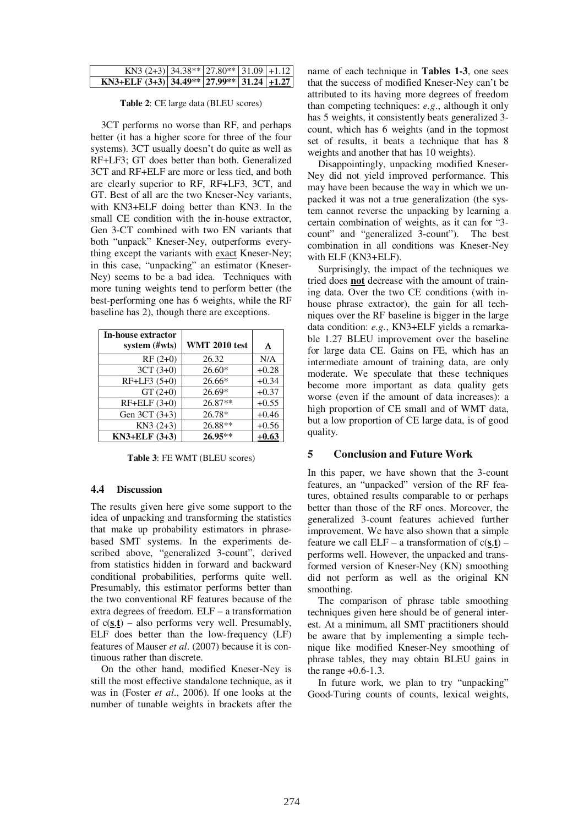| KN3 (2+3) 34.38** 27.80** 31.09 + 1.12    |  |  |
|-------------------------------------------|--|--|
| KN3+ELF (3+3) 34.49** 27.99** 31.24 +1.27 |  |  |

**Table 2**: CE large data (BLEU scores)

3CT performs no worse than RF, and perhaps better (it has a higher score for three of the four systems). 3CT usually doesn't do quite as well as RF+LF3; GT does better than both. Generalized 3CT and RF+ELF are more or less tied, and both are clearly superior to RF, RF+LF3, 3CT, and GT. Best of all are the two Kneser-Ney variants, with KN3+ELF doing better than KN3. In the small CE condition with the in-house extractor, Gen 3-CT combined with two EN variants that both "unpack" Kneser-Ney, outperforms everything except the variants with exact Kneser-Ney; in this case, "unpacking" an estimator (Kneser-Ney) seems to be a bad idea. Techniques with more tuning weights tend to perform better (the best-performing one has 6 weights, while the RF baseline has 2), though there are exceptions.

| <b>In-house extractor</b><br>system (#wts) | <b>WMT 2010 test</b> | Δ       |
|--------------------------------------------|----------------------|---------|
| $RF(2+0)$                                  | 26.32                | N/A     |
| $3CT(3+0)$                                 | $26.60*$             | $+0.28$ |
| RF+LF3 (5+0)                               | 26.66*               | $+0.34$ |
| $GT(2+0)$                                  | 26.69*               | $+0.37$ |
| $RF+ELF(3+0)$                              | 26.87**              | $+0.55$ |
| Gen 3CT (3+3)                              | 26.78*               | $+0.46$ |
| $KN3(2+3)$                                 | 26.88**              | $+0.56$ |
| $KN3+ELF(3+3)$                             | $26.95**$            | $+0.63$ |

**Table 3**: FE WMT (BLEU scores)

### **4.4 Discussion**

The results given here give some support to the idea of unpacking and transforming the statistics that make up probability estimators in phrasebased SMT systems. In the experiments described above, "generalized 3-count", derived from statistics hidden in forward and backward conditional probabilities, performs quite well. Presumably, this estimator performs better than the two conventional RF features because of the extra degrees of freedom. ELF – a transformation of c(**s**,**t**) – also performs very well. Presumably, ELF does better than the low-frequency (LF) features of Mauser *et al*. (2007) because it is continuous rather than discrete.

On the other hand, modified Kneser-Ney is still the most effective standalone technique, as it was in (Foster *et al*., 2006). If one looks at the number of tunable weights in brackets after the name of each technique in **Tables 1-3**, one sees that the success of modified Kneser-Ney can't be attributed to its having more degrees of freedom than competing techniques: *e.g*., although it only has 5 weights, it consistently beats generalized 3 count, which has 6 weights (and in the topmost set of results, it beats a technique that has 8 weights and another that has 10 weights).

Disappointingly, unpacking modified Kneser-Ney did not yield improved performance. This may have been because the way in which we unpacked it was not a true generalization (the system cannot reverse the unpacking by learning a certain combination of weights, as it can for "3 count" and "generalized 3-count"). The best combination in all conditions was Kneser-Ney with ELF (KN3+ELF).

Surprisingly, the impact of the techniques we tried does **not** decrease with the amount of training data. Over the two CE conditions (with inhouse phrase extractor), the gain for all techniques over the RF baseline is bigger in the large data condition: *e.g.*, KN3+ELF yields a remarkable 1.27 BLEU improvement over the baseline for large data CE. Gains on FE, which has an intermediate amount of training data, are only moderate. We speculate that these techniques become more important as data quality gets worse (even if the amount of data increases): a high proportion of CE small and of WMT data, but a low proportion of CE large data, is of good quality.

### **5 Conclusion and Future Work**

In this paper, we have shown that the 3-count features, an "unpacked" version of the RF features, obtained results comparable to or perhaps better than those of the RF ones. Moreover, the generalized 3-count features achieved further improvement. We have also shown that a simple feature we call  $ELF - a$  transformation of  $c(s,t)$ performs well. However, the unpacked and transformed version of Kneser-Ney (KN) smoothing did not perform as well as the original KN smoothing.

The comparison of phrase table smoothing techniques given here should be of general interest. At a minimum, all SMT practitioners should be aware that by implementing a simple technique like modified Kneser-Ney smoothing of phrase tables, they may obtain BLEU gains in the range  $+0.6-1.3$ .

In future work, we plan to try "unpacking" Good-Turing counts of counts, lexical weights,